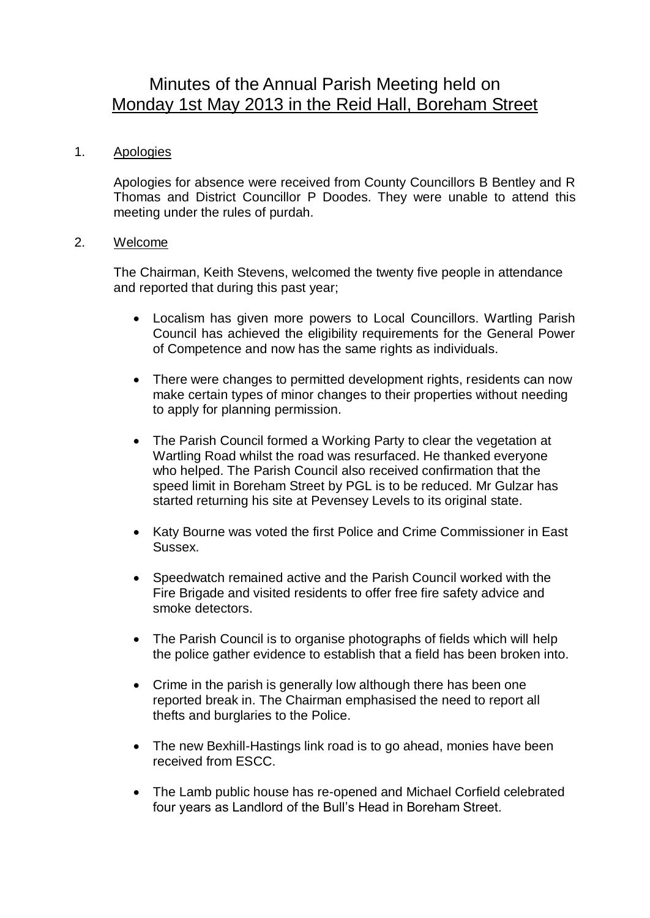# Minutes of the Annual Parish Meeting held on Monday 1st May 2013 in the Reid Hall, Boreham Street

# 1. Apologies

Apologies for absence were received from County Councillors B Bentley and R Thomas and District Councillor P Doodes. They were unable to attend this meeting under the rules of purdah.

## 2. Welcome

The Chairman, Keith Stevens, welcomed the twenty five people in attendance and reported that during this past year;

- Localism has given more powers to Local Councillors. Wartling Parish Council has achieved the eligibility requirements for the General Power of Competence and now has the same rights as individuals.
- There were changes to permitted development rights, residents can now make certain types of minor changes to their properties without needing to apply for planning permission.
- The Parish Council formed a Working Party to clear the vegetation at Wartling Road whilst the road was resurfaced. He thanked everyone who helped. The Parish Council also received confirmation that the speed limit in Boreham Street by PGL is to be reduced. Mr Gulzar has started returning his site at Pevensey Levels to its original state.
- Katy Bourne was voted the first Police and Crime Commissioner in East Sussex.
- Speedwatch remained active and the Parish Council worked with the Fire Brigade and visited residents to offer free fire safety advice and smoke detectors.
- The Parish Council is to organise photographs of fields which will help the police gather evidence to establish that a field has been broken into.
- Crime in the parish is generally low although there has been one reported break in. The Chairman emphasised the need to report all thefts and burglaries to the Police.
- The new Bexhill-Hastings link road is to go ahead, monies have been received from ESCC.
- The Lamb public house has re-opened and Michael Corfield celebrated four years as Landlord of the Bull's Head in Boreham Street.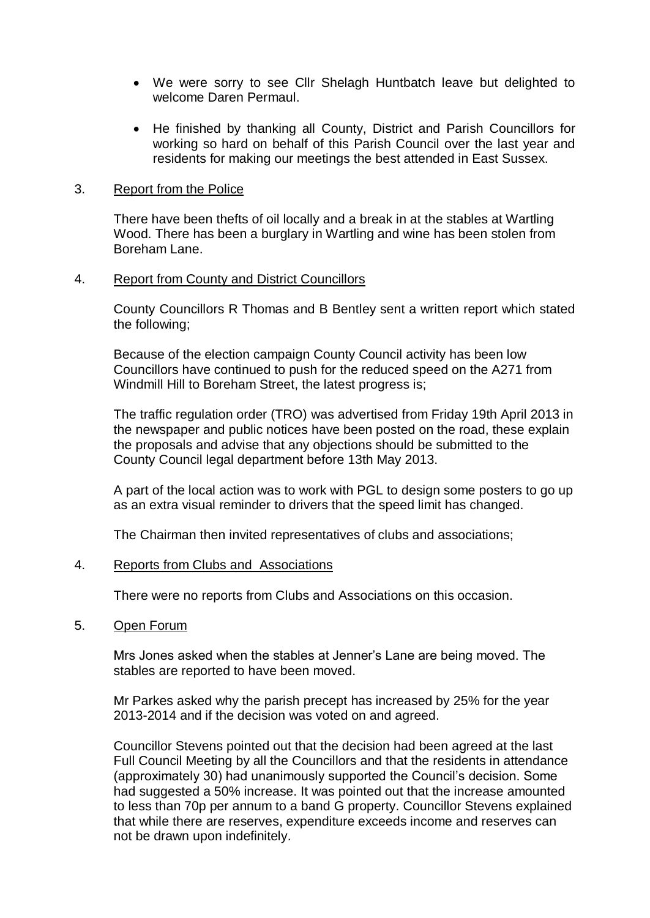- We were sorry to see Cllr Shelagh Huntbatch leave but delighted to welcome Daren Permaul.
- He finished by thanking all County, District and Parish Councillors for working so hard on behalf of this Parish Council over the last year and residents for making our meetings the best attended in East Sussex.

## 3. Report from the Police

There have been thefts of oil locally and a break in at the stables at Wartling Wood. There has been a burglary in Wartling and wine has been stolen from Boreham Lane.

## 4. Report from County and District Councillors

County Councillors R Thomas and B Bentley sent a written report which stated the following;

Because of the election campaign County Council activity has been low Councillors have continued to push for the reduced speed on the A271 from Windmill Hill to Boreham Street, the latest progress is;

The traffic regulation order (TRO) was advertised from Friday 19th April 2013 in the newspaper and public notices have been posted on the road, these explain the proposals and advise that any objections should be submitted to the County Council legal department before 13th May 2013.

A part of the local action was to work with PGL to design some posters to go up as an extra visual reminder to drivers that the speed limit has changed.

The Chairman then invited representatives of clubs and associations;

### 4. Reports from Clubs and Associations

There were no reports from Clubs and Associations on this occasion.

### 5. Open Forum

Mrs Jones asked when the stables at Jenner's Lane are being moved. The stables are reported to have been moved.

Mr Parkes asked why the parish precept has increased by 25% for the year 2013-2014 and if the decision was voted on and agreed.

Councillor Stevens pointed out that the decision had been agreed at the last Full Council Meeting by all the Councillors and that the residents in attendance (approximately 30) had unanimously supported the Council's decision. Some had suggested a 50% increase. It was pointed out that the increase amounted to less than 70p per annum to a band G property. Councillor Stevens explained that while there are reserves, expenditure exceeds income and reserves can not be drawn upon indefinitely.